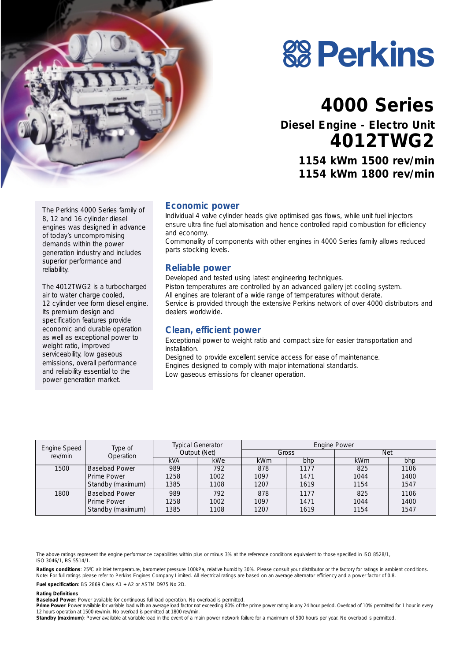

# **88 Perkins**

# **4000 Series**

**Diesel Engine - Electro Unit 4012TWG2**

**1154 kWm 1500 rev/min 1154 kWm 1800 rev/min**

The Perkins 4000 Series family of 8, 12 and 16 cylinder diesel engines was designed in advance of today's uncompromising demands within the power generation industry and includes superior performance and reliability.

The 4012TWG2 is a turbocharged air to water charge cooled, 12 cylinder vee form diesel engine. Its premium design and specification features provide economic and durable operation as well as exceptional power to weight ratio, improved serviceability, low gaseous emissions, overall performance and reliability essential to the power generation market.

#### **Economic power**

Individual 4 valve cylinder heads give optimised gas flows, while unit fuel injectors ensure ultra fine fuel atomisation and hence controlled rapid combustion for efficiency and economy.

Commonality of components with other engines in 4000 Series family allows reduced parts stocking levels.

#### **Reliable power**

Developed and tested using latest engineering techniques. Piston temperatures are controlled by an advanced gallery jet cooling system. All engines are tolerant of a wide range of temperatures without derate. Service is provided through the extensive Perkins network of over 4000 distributors and dealers worldwide.

#### **Clean, efficient power**

Exceptional power to weight ratio and compact size for easier transportation and installation.

Designed to provide excellent service access for ease of maintenance. Engines designed to comply with major international standards. Low gaseous emissions for cleaner operation.

| Engine Speed | Type of<br>Operation  | <b>Typical Generator</b><br>Output (Net) |            | Engine Power |      |            |      |
|--------------|-----------------------|------------------------------------------|------------|--------------|------|------------|------|
| rev/min      |                       |                                          |            | Gross        |      | <b>Net</b> |      |
|              |                       | <b>kVA</b>                               | <b>kWe</b> | <b>kWm</b>   | bhp  | <b>kWm</b> | bhp  |
| 1500         | <b>Baseload Power</b> | 989                                      | 792        | 878          | 1177 | 825        | 1106 |
|              | Prime Power           | 1258                                     | 1002       | 1097         | 1471 | 1044       | 1400 |
|              | Standby (maximum)     | 1385                                     | 1108       | 1207         | 1619 | 1154       | 1547 |
| 1800         | <b>Baseload Power</b> | 989                                      | 792        | 878          | 1177 | 825        | 1106 |
|              | Prime Power           | 1258                                     | 1002       | 1097         | 1471 | 1044       | 1400 |
|              | Standby (maximum)     | 1385                                     | 1108       | 1207         | 1619 | 1154       | 1547 |

The above ratings represent the engine performance capabilities within plus or minus 3% at the reference conditions equivalent to those specified in ISO 8528/1, ISO 3046/1, BS 5514/1.

**Ratings conditions**: 25ºC air inlet temperature, barometer pressure 100kPa, relative humidity 30%. Please consult your distributor or the factory for ratings in ambient conditions. *Note:* For full ratings please refer to Perkins Engines Company Limited. All electrical ratings are based on an average alternator efficiency and a power factor of 0.8.

**Fuel specification**: BS 2869 Class A1 + A2 or ASTM D975 No 2D.

#### **Rating Definitions**

**Baseload Power**: Power available for continuous full load operation. No overload is permitted.

Prime Power: Power available for variable load with an average load factor not exceeding 80% of the prime power rating in any 24 hour period. Overload of 10% permitted for 1 hour in every 12 hours operation at 1500 rev/min. No overload is permitted at 1800 rev/min.

Standby (maximum): Power available at variable load in the event of a main power network failure for a maximum of 500 hours per year. No overload is permitted.